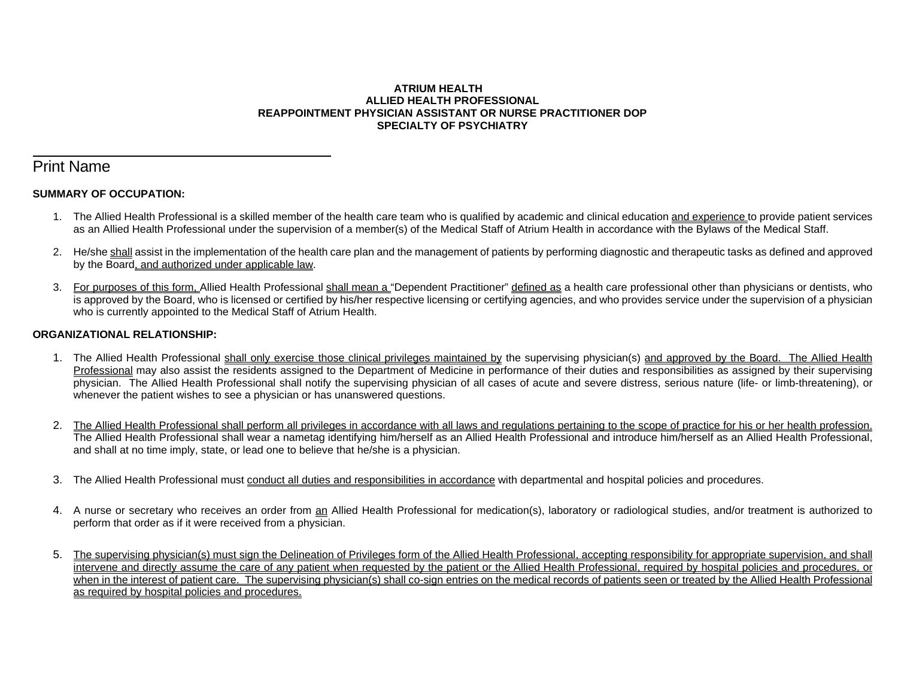#### **ATRIUM HEALTH ALLIED HEALTH PROFESSIONAL REAPPOINTMENT PHYSICIAN ASSISTANT OR NURSE PRACTITIONER DOP SPECIALTY OF PSYCHIATRY**

# Print Name

 $\overline{a}$ 

# **SUMMARY OF OCCUPATION:**

- 1. The Allied Health Professional is a skilled member of the health care team who is qualified by academic and clinical education and experience to provide patient services as an Allied Health Professional under the supervision of a member(s) of the Medical Staff of Atrium Health in accordance with the Bylaws of the Medical Staff.
- 2. He/she shall assist in the implementation of the health care plan and the management of patients by performing diagnostic and therapeutic tasks as defined and approved by the Board, and authorized under applicable law.
- 3. For purposes of this form, Allied Health Professional shall mean a "Dependent Practitioner" defined as a health care professional other than physicians or dentists, who is approved by the Board, who is licensed or certified by his/her respective licensing or certifying agencies, and who provides service under the supervision of a physician who is currently appointed to the Medical Staff of Atrium Health.

## **ORGANIZATIONAL RELATIONSHIP:**

- 1. The Allied Health Professional shall only exercise those clinical privileges maintained by the supervising physician(s) and approved by the Board. The Allied Health Professional may also assist the residents assigned to the Department of Medicine in performance of their duties and responsibilities as assigned by their supervising physician. The Allied Health Professional shall notify the supervising physician of all cases of acute and severe distress, serious nature (life- or limb-threatening), or whenever the patient wishes to see a physician or has unanswered questions.
- 2. The Allied Health Professional shall perform all privileges in accordance with all laws and regulations pertaining to the scope of practice for his or her health profession. The Allied Health Professional shall wear a nametag identifying him/herself as an Allied Health Professional and introduce him/herself as an Allied Health Professional, and shall at no time imply, state, or lead one to believe that he/she is a physician.
- 3. The Allied Health Professional must conduct all duties and responsibilities in accordance with departmental and hospital policies and procedures.
- 4. A nurse or secretary who receives an order from an Allied Health Professional for medication(s), laboratory or radiological studies, and/or treatment is authorized to perform that order as if it were received from a physician.
- 5. The supervising physician(s) must sign the Delineation of Privileges form of the Allied Health Professional, accepting responsibility for appropriate supervision, and shall intervene and directly assume the care of any patient when requested by the patient or the Allied Health Professional, required by hospital policies and procedures, or when in the interest of patient care. The supervising physician(s) shall co-sign entries on the medical records of patients seen or treated by the Allied Health Professional as required by hospital policies and procedures.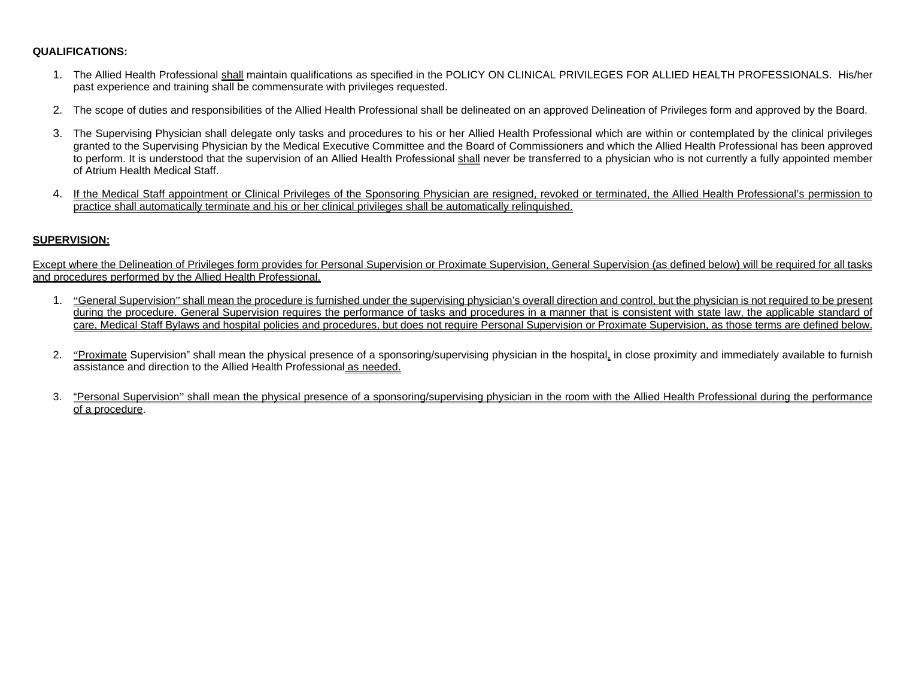## **QUALIFICATIONS:**

- 1. The Allied Health Professional shall maintain qualifications as specified in the POLICY ON CLINICAL PRIVILEGES FOR ALLIED HEALTH PROFESSIONALS. His/her past experience and training shall be commensurate with privileges requested.
- 2. The scope of duties and responsibilities of the Allied Health Professional shall be delineated on an approved Delineation of Privileges form and approved by the Board.
- 3. The Supervising Physician shall delegate only tasks and procedures to his or her Allied Health Professional which are within or contemplated by the clinical privileges granted to the Supervising Physician by the Medical Executive Committee and the Board of Commissioners and which the Allied Health Professional has been approved to perform. It is understood that the supervision of an Allied Health Professional shall never be transferred to a physician who is not currently a fully appointed member of Atrium Health Medical Staff.
- 4. If the Medical Staff appointment or Clinical Privileges of the Sponsoring Physician are resigned, revoked or terminated, the Allied Health Professional's permission to practice shall automatically terminate and his or her clinical privileges shall be automatically relinquished.

## **SUPERVISION:**

Except where the Delineation of Privileges form provides for Personal Supervision or Proximate Supervision, General Supervision (as defined below) will be required for all tasks and procedures performed by the Allied Health Professional.

- 1. "General Supervision" shall mean the procedure is furnished under the supervising physician's overall direction and control, but the physician is not required to be present during the procedure. General Supervision requires the performance of tasks and procedures in a manner that is consistent with state law, the applicable standard of care, Medical Staff Bylaws and hospital policies and procedures, but does not require Personal Supervision or Proximate Supervision, as those terms are defined below.
- 2. "Proximate Supervision" shall mean the physical presence of a sponsoring/supervising physician in the hospital, in close proximity and immediately available to furnish assistance and direction to the Allied Health Professional as needed.
- 3. "Personal Supervision" shall mean the physical presence of a sponsoring/supervising physician in the room with the Allied Health Professional during the performance of a procedure.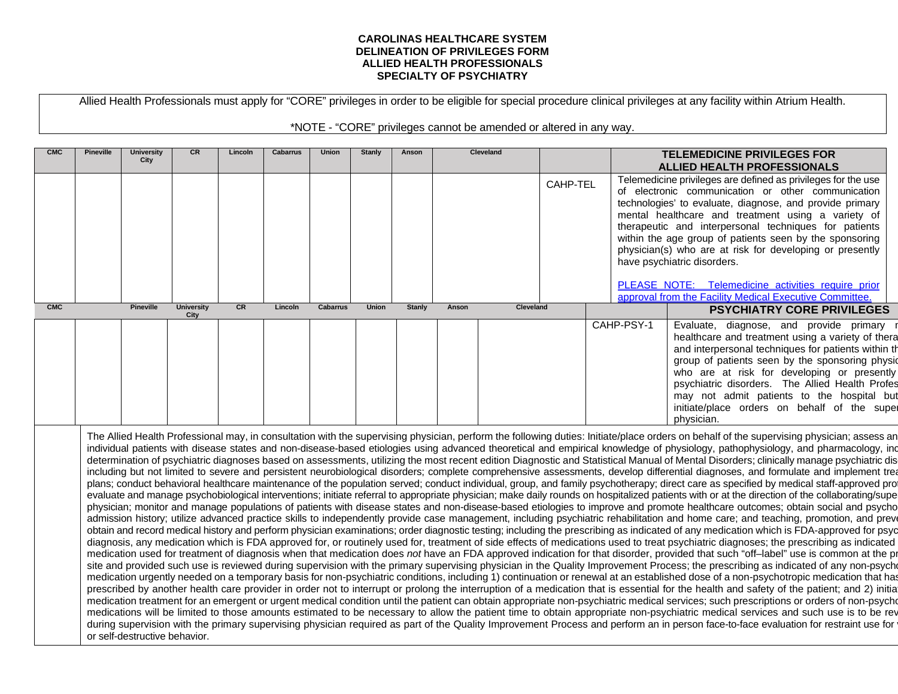## **CAROLINAS HEALTHCARE SYSTEM DELINEATION OF PRIVILEGES FORM ALLIED HEALTH PROFESSIONALS SPECIALTY OF PSYCHIATRY**

Allied Health Professionals must apply for "CORE" privileges in order to be eligible for special procedure clinical privileges at any facility within Atrium Health.

\*NOTE - "CORE" privileges cannot be amended or altered in any way.

| <b>CMC</b> | <b>Pineville</b> | <b>University</b><br>City | <b>CR</b>         | Lincoln | <b>Cabarrus</b> | Union           | Stanly       | Anson         | <b>Cleveland</b> |                  |          |            | <b>TELEMEDICINE PRIVILEGES FOR</b><br><b>ALLIED HEALTH PROFESSIONALS</b>                                                                                                                                                                                                                                                                                                                                                                                                                                                                                                                                                                                                                                                                                                                                                                                                                                                                                                                                                                                                                                                                                                                                                                                                                                                                                                                                                                                                                                                                                                                                                                                                                                                                                                                                                                                                                                                                                                                                                                                                                                                                                                                                                                                                                                                                                                                                                                                                                                                                                                                                                                                                                                                                                                                                                                                                                                                                                                                                                                                                                                                                                                                                                                                                                                                                                                                                                                                                                                                                                                                                                                                                                          |
|------------|------------------|---------------------------|-------------------|---------|-----------------|-----------------|--------------|---------------|------------------|------------------|----------|------------|---------------------------------------------------------------------------------------------------------------------------------------------------------------------------------------------------------------------------------------------------------------------------------------------------------------------------------------------------------------------------------------------------------------------------------------------------------------------------------------------------------------------------------------------------------------------------------------------------------------------------------------------------------------------------------------------------------------------------------------------------------------------------------------------------------------------------------------------------------------------------------------------------------------------------------------------------------------------------------------------------------------------------------------------------------------------------------------------------------------------------------------------------------------------------------------------------------------------------------------------------------------------------------------------------------------------------------------------------------------------------------------------------------------------------------------------------------------------------------------------------------------------------------------------------------------------------------------------------------------------------------------------------------------------------------------------------------------------------------------------------------------------------------------------------------------------------------------------------------------------------------------------------------------------------------------------------------------------------------------------------------------------------------------------------------------------------------------------------------------------------------------------------------------------------------------------------------------------------------------------------------------------------------------------------------------------------------------------------------------------------------------------------------------------------------------------------------------------------------------------------------------------------------------------------------------------------------------------------------------------------------------------------------------------------------------------------------------------------------------------------------------------------------------------------------------------------------------------------------------------------------------------------------------------------------------------------------------------------------------------------------------------------------------------------------------------------------------------------------------------------------------------------------------------------------------------------------------------------------------------------------------------------------------------------------------------------------------------------------------------------------------------------------------------------------------------------------------------------------------------------------------------------------------------------------------------------------------------------------------------------------------------------------------------------------------------------|
|            |                  |                           |                   |         |                 |                 |              |               |                  |                  | CAHP-TEL |            | Telemedicine privileges are defined as privileges for the use<br>of electronic communication or other communication<br>technologies' to evaluate, diagnose, and provide primary<br>mental healthcare and treatment using a variety of<br>therapeutic and interpersonal techniques for patients<br>within the age group of patients seen by the sponsoring<br>physician(s) who are at risk for developing or presently<br>have psychiatric disorders.<br>PLEASE NOTE: Telemedicine activities require prior<br>approval from the Facility Medical Executive Committee.                                                                                                                                                                                                                                                                                                                                                                                                                                                                                                                                                                                                                                                                                                                                                                                                                                                                                                                                                                                                                                                                                                                                                                                                                                                                                                                                                                                                                                                                                                                                                                                                                                                                                                                                                                                                                                                                                                                                                                                                                                                                                                                                                                                                                                                                                                                                                                                                                                                                                                                                                                                                                                                                                                                                                                                                                                                                                                                                                                                                                                                                                                                             |
| <b>CMC</b> |                  | <b>Pineville</b>          | <b>University</b> | CR      | Lincoln         | <b>Cabarrus</b> | <b>Union</b> | <b>Stanly</b> | Anson            | <b>Cleveland</b> |          |            | <b>PSYCHIATRY CORE PRIVILEGES</b>                                                                                                                                                                                                                                                                                                                                                                                                                                                                                                                                                                                                                                                                                                                                                                                                                                                                                                                                                                                                                                                                                                                                                                                                                                                                                                                                                                                                                                                                                                                                                                                                                                                                                                                                                                                                                                                                                                                                                                                                                                                                                                                                                                                                                                                                                                                                                                                                                                                                                                                                                                                                                                                                                                                                                                                                                                                                                                                                                                                                                                                                                                                                                                                                                                                                                                                                                                                                                                                                                                                                                                                                                                                                 |
|            |                  |                           | City              |         |                 |                 |              |               |                  |                  |          | CAHP-PSY-1 | Evaluate, diagnose, and provide primary<br>healthcare and treatment using a variety of thera<br>and interpersonal techniques for patients within th<br>group of patients seen by the sponsoring physic<br>who are at risk for developing or presently<br>psychiatric disorders. The Allied Health Profes<br>may not admit patients to the hospital but<br>initiate/place orders on behalf of the super<br>physician.<br>The Allied Health Professional may, in consultation with the supervising physician, perform the following duties: Initiate/place orders on behalf of the supervising physician; assess an<br>individual patients with disease states and non-disease-based etiologies using advanced theoretical and empirical knowledge of physiology, pathophysiology, and pharmacology, ind<br>determination of psychiatric diagnoses based on assessments, utilizing the most recent edition Diagnostic and Statistical Manual of Mental Disorders; clinically manage psychiatric dis<br>including but not limited to severe and persistent neurobiological disorders; complete comprehensive assessments, develop differential diagnoses, and formulate and implement trea<br>plans; conduct behavioral healthcare maintenance of the population served; conduct individual, group, and family psychotherapy; direct care as specified by medical staff-approved pro<br>evaluate and manage psychobiological interventions; initiate referral to appropriate physician; make daily rounds on hospitalized patients with or at the direction of the collaborating/supe<br>physician; monitor and manage populations of patients with disease states and non-disease-based etiologies to improve and promote healthcare outcomes; obtain social and psycho<br>admission history; utilize advanced practice skills to independently provide case management, including psychiatric rehabilitation and home care; and teaching, promotion, and preve<br>obtain and record medical history and perform physician examinations; order diagnostic testing; including the prescribing as indicated of any medication which is FDA-approved for psyc<br>diagnosis, any medication which is FDA approved for, or routinely used for, treatment of side effects of medications used to treat psychiatric diagnoses; the prescribing as indicated<br>medication used for treatment of diagnosis when that medication does not have an FDA approved indication for that disorder, provided that such "off-label" use is common at the pr<br>site and provided such use is reviewed during supervision with the primary supervising physician in the Quality Improvement Process; the prescribing as indicated of any non-psychology<br>medication urgently needed on a temporary basis for non-psychiatric conditions, including 1) continuation or renewal at an established dose of a non-psychotropic medication that has<br>prescribed by another health care provider in order not to interrupt or prolong the interruption of a medication that is essential for the health and safety of the patient; and 2) initia<br>medication treatment for an emergent or urgent medical condition until the patient can obtain appropriate non-psychiatric medical services; such prescriptions or orders of non-psycho<br>medications will be limited to those amounts estimated to be necessary to allow the patient time to obtain appropriate non-psychiatric medical services and such use is to be rev<br>during supervision with the primary supervising physician required as part of the Quality Improvement Process and perform an in person face-to-face evaluation for restraint use for |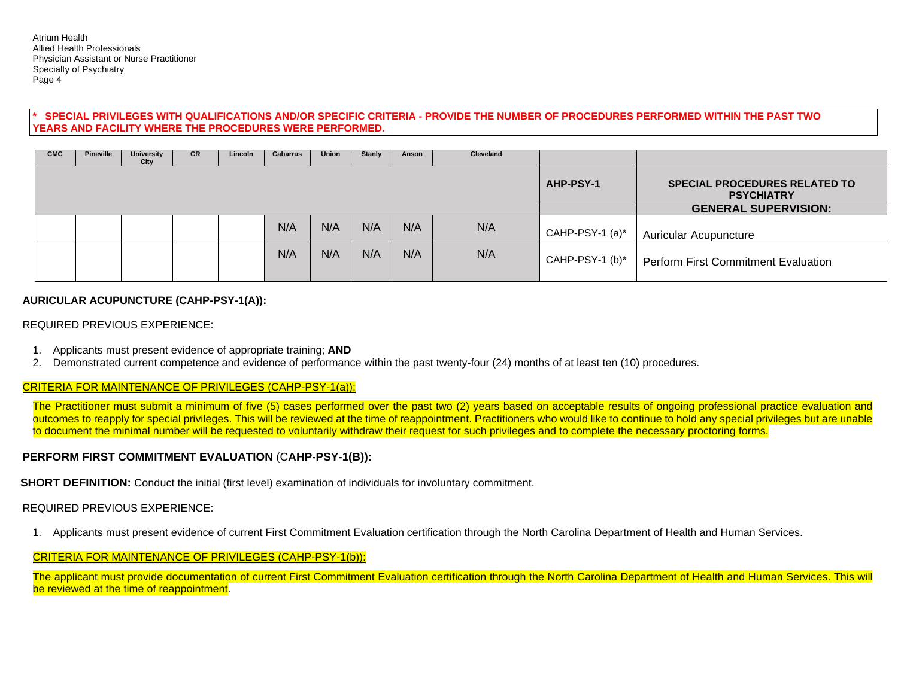## **\* SPECIAL PRIVILEGES WITH QUALIFICATIONS AND/OR SPECIFIC CRITERIA - PROVIDE THE NUMBER OF PROCEDURES PERFORMED WITHIN THE PAST TWO YEARS AND FACILITY WHERE THE PROCEDURES WERE PERFORMED.**

| <b>CMC</b> | Pineville | University<br>City | <b>CR</b> | Lincoln | <b>Cabarrus</b> | Union | <b>Stanly</b> | Anson | Cleveland |                 |                                                           |
|------------|-----------|--------------------|-----------|---------|-----------------|-------|---------------|-------|-----------|-----------------|-----------------------------------------------------------|
|            |           |                    |           |         |                 |       |               |       |           | AHP-PSY-1       | <b>SPECIAL PROCEDURES RELATED TO</b><br><b>PSYCHIATRY</b> |
|            |           |                    |           |         |                 |       |               |       |           |                 | <b>GENERAL SUPERVISION:</b>                               |
|            |           |                    |           |         | N/A             | N/A   | N/A           | N/A   | N/A       | CAHP-PSY-1 (a)* | <b>Auricular Acupuncture</b>                              |
|            |           |                    |           |         | N/A             | N/A   | N/A           | N/A   | N/A       | CAHP-PSY-1 (b)* | <b>Perform First Commitment Evaluation</b>                |

## **AURICULAR ACUPUNCTURE (CAHP-PSY-1(A)):**

#### REQUIRED PREVIOUS EXPERIENCE:

- 1. Applicants must present evidence of appropriate training; **AND**
- 2. Demonstrated current competence and evidence of performance within the past twenty-four (24) months of at least ten (10) procedures.

## CRITERIA FOR MAINTENANCE OF PRIVILEGES (CAHP-PSY-1(a)):

The Practitioner must submit a minimum of five (5) cases performed over the past two (2) years based on acceptable results of ongoing professional practice evaluation and outcomes to reapply for special privileges. This will be reviewed at the time of reappointment. Practitioners who would like to continue to hold any special privileges but are unable to document the minimal number will be requested to voluntarily withdraw their request for such privileges and to complete the necessary proctoring forms.

## **PERFORM FIRST COMMITMENT EVALUATION** (C**AHP-PSY-1(B)):**

**SHORT DEFINITION:** Conduct the initial (first level) examination of individuals for involuntary commitment.

#### REQUIRED PREVIOUS EXPERIENCE:

1. Applicants must present evidence of current First Commitment Evaluation certification through the North Carolina Department of Health and Human Services.

#### CRITERIA FOR MAINTENANCE OF PRIVILEGES (CAHP-PSY-1(b)):

The applicant must provide documentation of current First Commitment Evaluation certification through the North Carolina Department of Health and Human Services. This will be reviewed at the time of reappointment.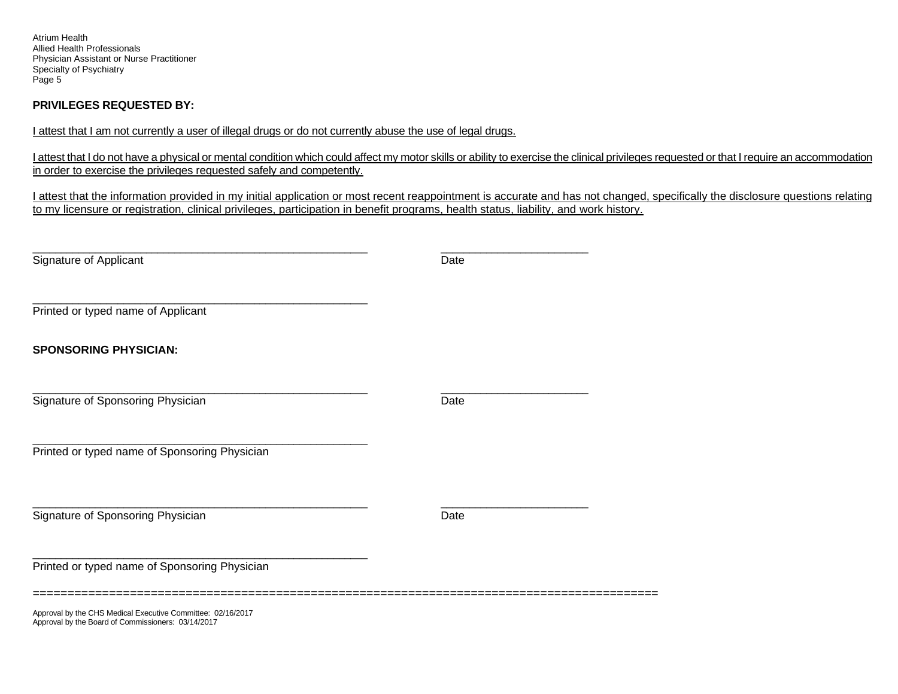Atrium Health Allied Health Professionals Physician Assistant or Nurse Practitioner Specialty of Psychiatry Page 5

## **PRIVILEGES REQUESTED BY:**

## I attest that I am not currently a user of illegal drugs or do not currently abuse the use of legal drugs.

I attest that I do not have a physical or mental condition which could affect my motor skills or ability to exercise the clinical privileges requested or that I require an accommodation in order to exercise the privileges requested safely and competently.

I attest that the information provided in my initial application or most recent reappointment is accurate and has not changed, specifically the disclosure questions relating to my licensure or registration, clinical privileges, participation in benefit programs, health status, liability, and work history.

| Signature of Applicant                                      | Date |
|-------------------------------------------------------------|------|
| Printed or typed name of Applicant                          |      |
| <b>SPONSORING PHYSICIAN:</b>                                |      |
| Signature of Sponsoring Physician                           | Date |
| Printed or typed name of Sponsoring Physician               |      |
| Signature of Sponsoring Physician                           | Date |
| Printed or typed name of Sponsoring Physician               |      |
| Approval by the CHS Medical Executive Committee: 02/16/2017 |      |

Approval by the CHS Medical Executive Committee: 02/16/2017 Approval by the Board of Commissioners: 03/14/2017